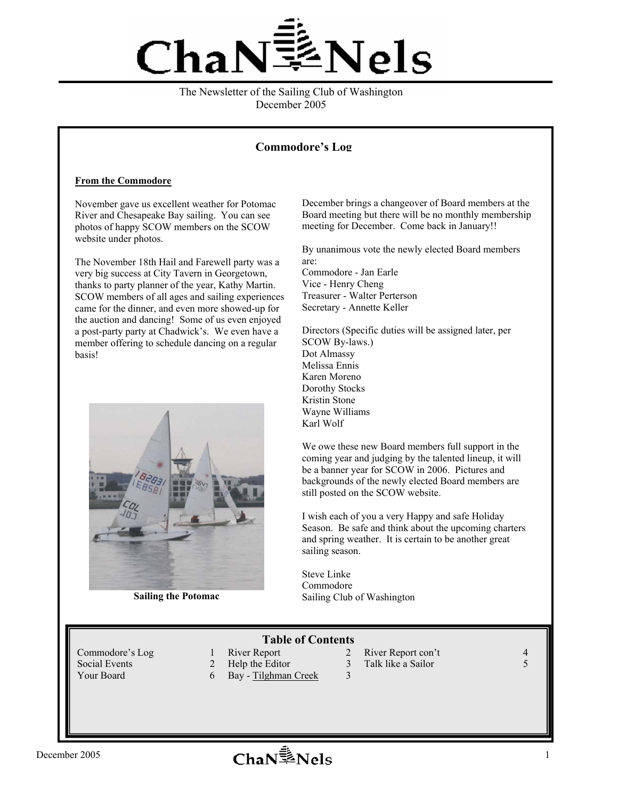

#### The Newsletter of the Sailing Club of Washington December 2005

## **Commodore's Log**

#### **From the Commodore**

November gave us excellent weather for Potomac River and Chesapeake Bay sailing. You can see photos of happy SCOW members on the SCOW website under photos.

The November 18th Hail and Farewell party was a very big success at City Tavern in Georgetown, thanks to party planner of the year, Kathy Martin. SCOW members of all ages and sailing experiences came for the dinner, and even more showed-up for the auction and dancing! Some of us even enjoyed a post-party party at Chadwick's. We even have a member offering to schedule dancing on a regular basis!



**Sailing the Potomac** 

December brings a changeover of Board members at the Board meeting but there will be no monthly membership meeting for December. Come back in January!!

By unanimous vote the newly elected Board members are:

Commodore - Jan Earle Vice - Henry Cheng Treasurer - Walter Perterson Secretary - Annette Keller

Directors (Specific duties will be assigned later, per SCOW By-laws.) Dot Almassy Melissa Ennis Karen Moreno Dorothy Stocks Kristin Stone Wayne Williams Karl Wolf

We owe these new Board members full support in the coming year and judging by the talented lineup, it will be a banner year for SCOW in 2006. Pictures and backgrounds of the newly elected Board members are still posted on the SCOW website.

I wish each of you a very Happy and safe Holiday Season. Be safe and think about the upcoming charters and spring weather. It is certain to be another great sailing season.

Steve Linke Commodore Sailing Club of Washington

## **Table of Contents**

- 
- Social Events 2 Help the Editor 3 Talk like a Sailor 5<br>
Your Board 6 Bay Tilghman Creek 3
	- 6 Bay Tilghman Creek 3
- Commodore's Log 1 River Report 2 River Report con't 4
	-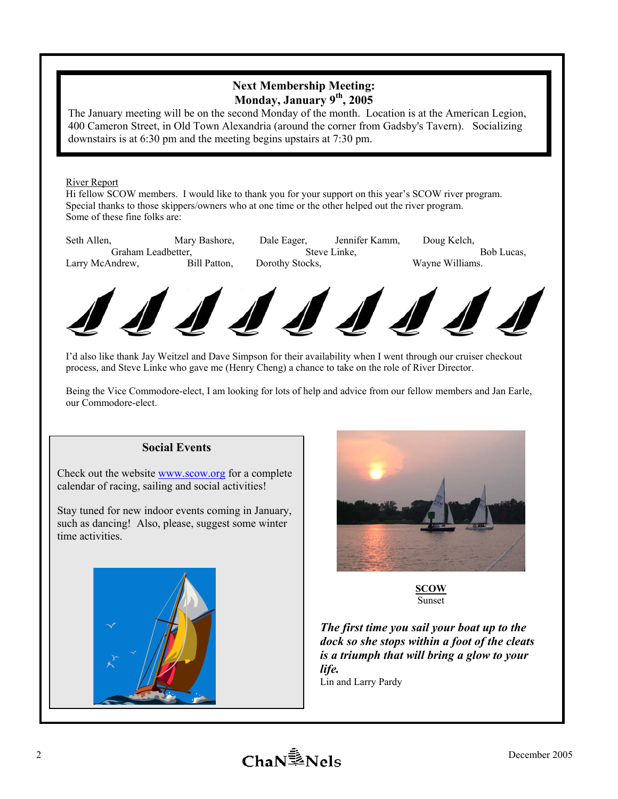# **Next Membership Meeting: Monday, January 9th, 2005**

The January meeting will be on the second Monday of the month. Location is at the American Legion, 400 Cameron Street, in Old Town Alexandria (around the corner from Gadsby's Tavern). Socializing downstairs is at 6:30 pm and the meeting begins upstairs at 7:30 pm.

### River Report

Hi fellow SCOW members. I would like to thank you for your support on this year's SCOW river program. Special thanks to those skippers/owners who at one time or the other helped out the river program. Some of these fine folks are:

| Seth Allen,        | Mary Bashore, | Dale Eager,     | Jennifer Kamm. | Doug Kelch.     |
|--------------------|---------------|-----------------|----------------|-----------------|
| Graham Leadbetter. |               | Steve Linke.    |                | Bob Lucas.      |
| Larry McAndrew,    | Bill Patton,  | Dorothy Stocks. |                | Wayne Williams. |
|                    |               |                 |                |                 |



I'd also like thank Jay Weitzel and Dave Simpson for their availability when I went through our cruiser checkout process, and Steve Linke who gave me (Henry Cheng) a chance to take on the role of River Director.

Being the Vice Commodore-elect, I am looking for lots of help and advice from our fellow members and Jan Earle, our Commodore-elect.

## **Social Events**

Check out the website www.scow.org for a complete calendar of racing, sailing and social activities!

Stay tuned for new indoor events coming in January, such as dancing! Also, please, suggest some winter time activities.





**SCOW**  Sunset

*The first time you sail your boat up to the dock so she stops within a foot of the cleats is a triumph that will bring a glow to your life.*  Lin and Larry Pardy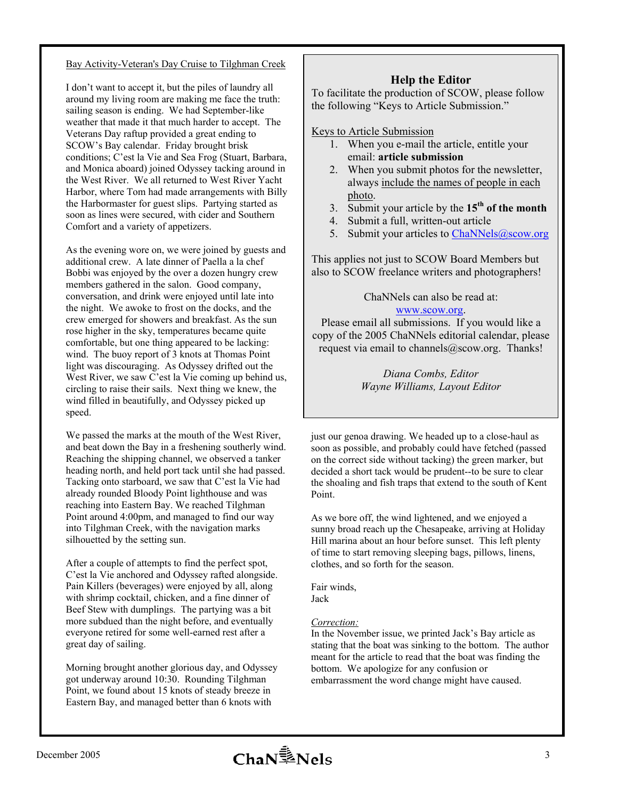### Bay Activity-Veteran's Day Cruise to Tilghman Creek

I don't want to accept it, but the piles of laundry all around my living room are making me face the truth: sailing season is ending. We had September-like weather that made it that much harder to accept. The Veterans Day raftup provided a great ending to SCOW's Bay calendar. Friday brought brisk conditions; C'est la Vie and Sea Frog (Stuart, Barbara, and Monica aboard) joined Odyssey tacking around in the West River. We all returned to West River Yacht Harbor, where Tom had made arrangements with Billy the Harbormaster for guest slips. Partying started as soon as lines were secured, with cider and Southern Comfort and a variety of appetizers.

As the evening wore on, we were joined by guests and additional crew. A late dinner of Paella a la chef Bobbi was enjoyed by the over a dozen hungry crew members gathered in the salon. Good company, conversation, and drink were enjoyed until late into the night. We awoke to frost on the docks, and the crew emerged for showers and breakfast. As the sun rose higher in the sky, temperatures became quite comfortable, but one thing appeared to be lacking: wind. The buoy report of 3 knots at Thomas Point light was discouraging. As Odyssey drifted out the West River, we saw C'est la Vie coming up behind us, circling to raise their sails. Next thing we knew, the wind filled in beautifully, and Odyssey picked up speed.

We passed the marks at the mouth of the West River, and beat down the Bay in a freshening southerly wind. Reaching the shipping channel, we observed a tanker heading north, and held port tack until she had passed. Tacking onto starboard, we saw that C'est la Vie had already rounded Bloody Point lighthouse and was reaching into Eastern Bay. We reached Tilghman Point around 4:00pm, and managed to find our way into Tilghman Creek, with the navigation marks silhouetted by the setting sun.

After a couple of attempts to find the perfect spot, C'est la Vie anchored and Odyssey rafted alongside. Pain Killers (beverages) were enjoyed by all, along with shrimp cocktail, chicken, and a fine dinner of Beef Stew with dumplings. The partying was a bit more subdued than the night before, and eventually everyone retired for some well-earned rest after a great day of sailing.

Morning brought another glorious day, and Odyssey got underway around 10:30. Rounding Tilghman Point, we found about 15 knots of steady breeze in Eastern Bay, and managed better than 6 knots with

## **Help the Editor**

To facilitate the production of SCOW, please follow the following "Keys to Article Submission."

Keys to Article Submission

- 1. When you e-mail the article, entitle your email: **article submission**
- 2. When you submit photos for the newsletter, always include the names of people in each photo.
- 3. Submit your article by the **15th of the month**
- 4. Submit a full, written-out article
- 5. Submit your articles to ChaNNels@scow.org

This applies not just to SCOW Board Members but also to SCOW freelance writers and photographers!

ChaNNels can also be read at:

## www.scow.org.

Please email all submissions. If you would like a copy of the 2005 ChaNNels editorial calendar, please request via email to channels@scow.org. Thanks!

> *Diana Combs, Editor Wayne Williams, Layout Editor*

just our genoa drawing. We headed up to a close-haul as soon as possible, and probably could have fetched (passed on the correct side without tacking) the green marker, but decided a short tack would be prudent--to be sure to clear the shoaling and fish traps that extend to the south of Kent Point.

As we bore off, the wind lightened, and we enjoyed a sunny broad reach up the Chesapeake, arriving at Holiday Hill marina about an hour before sunset. This left plenty of time to start removing sleeping bags, pillows, linens, clothes, and so forth for the season.

Fair winds, Jack

#### *Correction:*

In the November issue, we printed Jack's Bay article as stating that the boat was sinking to the bottom. The author meant for the article to read that the boat was finding the bottom. We apologize for any confusion or embarrassment the word change might have caused.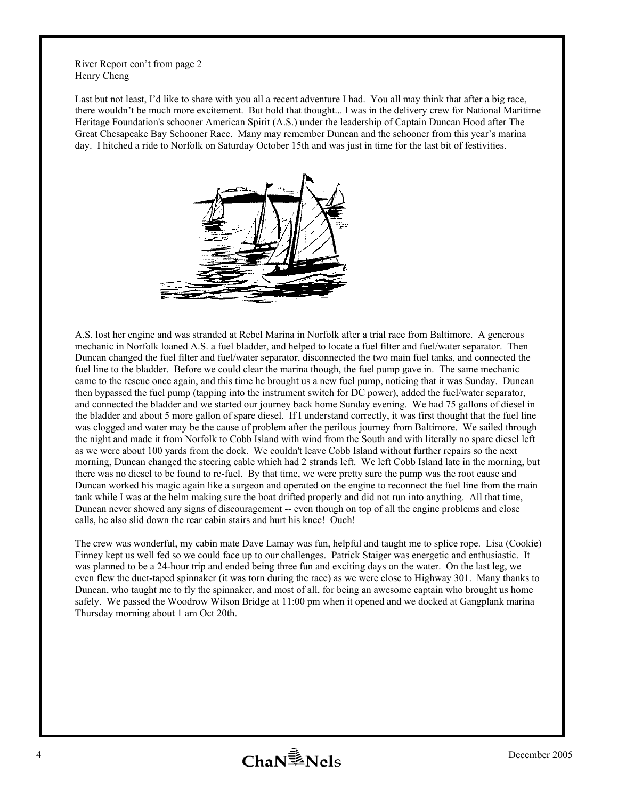River Report con't from page 2 Henry Cheng

Last but not least, I'd like to share with you all a recent adventure I had. You all may think that after a big race, there wouldn't be much more excitement. But hold that thought... I was in the delivery crew for National Maritime Heritage Foundation's schooner American Spirit (A.S.) under the leadership of Captain Duncan Hood after The Great Chesapeake Bay Schooner Race. Many may remember Duncan and the schooner from this year's marina day. I hitched a ride to Norfolk on Saturday October 15th and was just in time for the last bit of festivities.



A.S. lost her engine and was stranded at Rebel Marina in Norfolk after a trial race from Baltimore. A generous mechanic in Norfolk loaned A.S. a fuel bladder, and helped to locate a fuel filter and fuel/water separator. Then Duncan changed the fuel filter and fuel/water separator, disconnected the two main fuel tanks, and connected the fuel line to the bladder. Before we could clear the marina though, the fuel pump gave in. The same mechanic came to the rescue once again, and this time he brought us a new fuel pump, noticing that it was Sunday. Duncan then bypassed the fuel pump (tapping into the instrument switch for DC power), added the fuel/water separator, and connected the bladder and we started our journey back home Sunday evening. We had 75 gallons of diesel in the bladder and about 5 more gallon of spare diesel. If I understand correctly, it was first thought that the fuel line was clogged and water may be the cause of problem after the perilous journey from Baltimore. We sailed through the night and made it from Norfolk to Cobb Island with wind from the South and with literally no spare diesel left as we were about 100 yards from the dock. We couldn't leave Cobb Island without further repairs so the next morning, Duncan changed the steering cable which had 2 strands left. We left Cobb Island late in the morning, but there was no diesel to be found to re-fuel. By that time, we were pretty sure the pump was the root cause and Duncan worked his magic again like a surgeon and operated on the engine to reconnect the fuel line from the main tank while I was at the helm making sure the boat drifted properly and did not run into anything. All that time, Duncan never showed any signs of discouragement -- even though on top of all the engine problems and close calls, he also slid down the rear cabin stairs and hurt his knee! Ouch!

The crew was wonderful, my cabin mate Dave Lamay was fun, helpful and taught me to splice rope. Lisa (Cookie) Finney kept us well fed so we could face up to our challenges. Patrick Staiger was energetic and enthusiastic. It was planned to be a 24-hour trip and ended being three fun and exciting days on the water. On the last leg, we even flew the duct-taped spinnaker (it was torn during the race) as we were close to Highway 301. Many thanks to Duncan, who taught me to fly the spinnaker, and most of all, for being an awesome captain who brought us home safely. We passed the Woodrow Wilson Bridge at 11:00 pm when it opened and we docked at Gangplank marina Thursday morning about 1 am Oct 20th.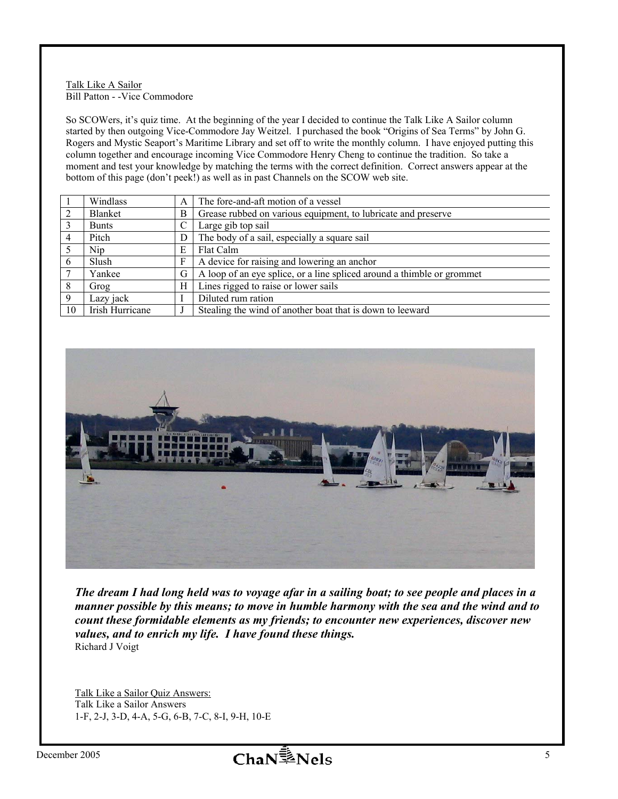#### Talk Like A Sailor Bill Patton - -Vice Commodore

So SCOWers, it's quiz time. At the beginning of the year I decided to continue the Talk Like A Sailor column started by then outgoing Vice-Commodore Jay Weitzel. I purchased the book "Origins of Sea Terms" by John G. Rogers and Mystic Seaport's Maritime Library and set off to write the monthly column. I have enjoyed putting this column together and encourage incoming Vice Commodore Henry Cheng to continue the tradition. So take a moment and test your knowledge by matching the terms with the correct definition. Correct answers appear at the bottom of this page (don't peek!) as well as in past Channels on the SCOW web site.

|                | Windlass        | A | The fore-and-aft motion of a vessel                                    |
|----------------|-----------------|---|------------------------------------------------------------------------|
| $\overline{2}$ | Blanket         | B | Grease rubbed on various equipment, to lubricate and preserve          |
|                | <b>Bunts</b>    |   | Large gib top sail                                                     |
| 4              | Pitch           | D | The body of a sail, especially a square sail                           |
|                | Nip             | Е | Flat Calm                                                              |
| 6              | Slush           | F | A device for raising and lowering an anchor                            |
|                | Yankee          | G | A loop of an eye splice, or a line spliced around a thimble or grommet |
| 8              | Grog            | Н | Lines rigged to raise or lower sails                                   |
| 9              | Lazy jack       |   | Diluted rum ration                                                     |
| 10             | Irish Hurricane |   | Stealing the wind of another boat that is down to leeward              |



*The dream I had long held was to voyage afar in a sailing boat; to see people and places in a manner possible by this means; to move in humble harmony with the sea and the wind and to count these formidable elements as my friends; to encounter new experiences, discover new values, and to enrich my life. I have found these things.*  Richard J Voigt

Talk Like a Sailor Quiz Answers: Talk Like a Sailor Answers 1-F, 2-J, 3-D, 4-A, 5-G, 6-B, 7-C, 8-I, 9-H, 10-E